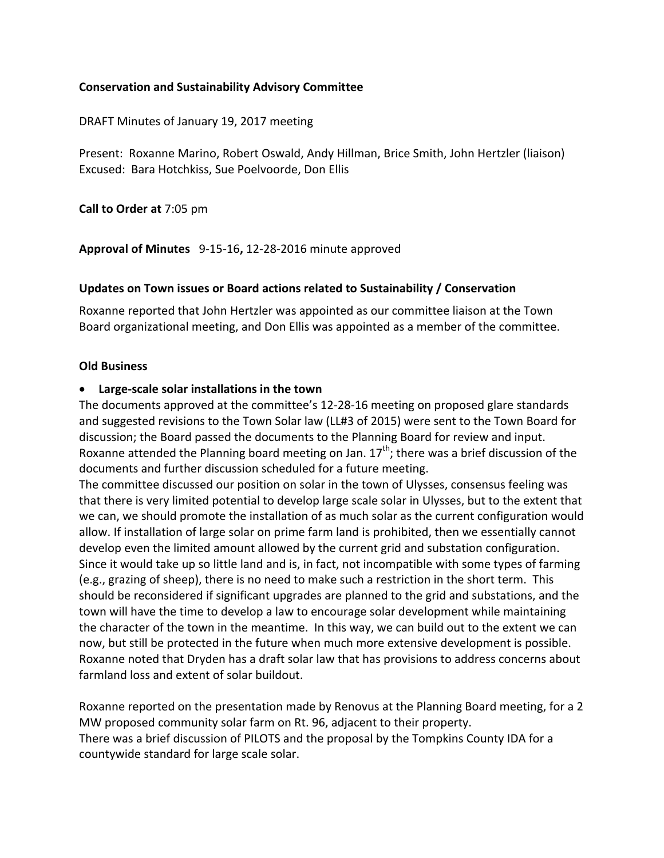### **Conservation and Sustainability Advisory Committee**

DRAFT Minutes of January 19, 2017 meeting

Present: Roxanne Marino, Robert Oswald, Andy Hillman, Brice Smith, John Hertzler (liaison) Excused: Bara Hotchkiss, Sue Poelvoorde, Don Ellis

**Call to Order at** 7:05 pm

**Approval of Minutes** 9-15-16, 12-28-2016 minute approved

### **Updates on Town issues or Board actions related to Sustainability / Conservation**

Roxanne reported that John Hertzler was appointed as our committee liaison at the Town Board organizational meeting, and Don Ellis was appointed as a member of the committee.

### **Old Business**

### • Large-scale solar installations in the town

The documents approved at the committee's 12-28-16 meeting on proposed glare standards and suggested revisions to the Town Solar law (LL#3 of 2015) were sent to the Town Board for discussion; the Board passed the documents to the Planning Board for review and input. Roxanne attended the Planning board meeting on Jan.  $17<sup>th</sup>$ ; there was a brief discussion of the documents and further discussion scheduled for a future meeting.

The committee discussed our position on solar in the town of Ulysses, consensus feeling was that there is very limited potential to develop large scale solar in Ulysses, but to the extent that we can, we should promote the installation of as much solar as the current configuration would allow. If installation of large solar on prime farm land is prohibited, then we essentially cannot develop even the limited amount allowed by the current grid and substation configuration. Since it would take up so little land and is, in fact, not incompatible with some types of farming (e.g., grazing of sheep), there is no need to make such a restriction in the short term. This should be reconsidered if significant upgrades are planned to the grid and substations, and the town will have the time to develop a law to encourage solar development while maintaining the character of the town in the meantime. In this way, we can build out to the extent we can now, but still be protected in the future when much more extensive development is possible. Roxanne noted that Dryden has a draft solar law that has provisions to address concerns about farmland loss and extent of solar buildout.

Roxanne reported on the presentation made by Renovus at the Planning Board meeting, for a 2 MW proposed community solar farm on Rt. 96, adjacent to their property. There was a brief discussion of PILOTS and the proposal by the Tompkins County IDA for a countywide standard for large scale solar.